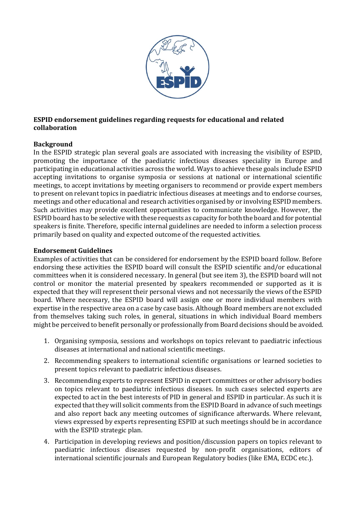

## **ESPID endorsement guidelines regarding requests for educational and related collaboration**

## **Background**

In the ESPID strategic plan several goals are associated with increasing the visibility of ESPID, promoting the importance of the paediatric infectious diseases speciality in Europe and participating in educational activities across the world. Ways to achieve these goals include ESPID accepting invitations to organise symposia or sessions at national or international scientific meetings, to accept invitations by meeting organisers to recommend or provide expert members to present on relevant topics in paediatric infectious diseases at meetings and to endorse courses, meetings and other educational and research activities organised by or involving ESPID members. Such activities may provide excellent opportunities to communicate knowledge. However, the ESPID board has to be selective with these requests as capacity for both the board and for potential speakers is finite. Therefore, specific internal guidelines are needed to inform a selection process primarily based on quality and expected outcome of the requested activities.

## **Endorsement Guidelines**

Examples of activities that can be considered for endorsement by the ESPID board follow. Before endorsing these activities the ESPID board will consult the ESPID scientific and/or educational committees when it is considered necessary. In general (but see item 3), the ESPID board will not control or monitor the material presented by speakers recommended or supported as it is expected that they will represent their personal views and not necessarily the views of the ESPID board. Where necessary, the ESPID board will assign one or more individual members with expertise in the respective area on a case by case basis. Although Board members are not excluded from themselves taking such roles, in general, situations in which individual Board members might be perceived to benefit personally or professionally from Board decisions should be avoided.

- 1. Organising symposia, sessions and workshops on topics relevant to paediatric infectious diseases at international and national scientific meetings.
- 2. Recommending speakers to international scientific organisations or learned societies to present topics relevant to paediatric infectious diseases.
- 3. Recommending experts to represent ESPID in expert committees or other advisory bodies on topics relevant to paediatric infectious diseases. In such cases selected experts are expected to act in the best interests of PID in general and ESPID in particular. As such it is expected that they will solicit comments from the ESPID Board in advance of such meetings and also report back any meeting outcomes of significance afterwards. Where relevant, views expressed by experts representing ESPID at such meetings should be in accordance with the ESPID strategic plan.
- 4. Participation in developing reviews and position/discussion papers on topics relevant to paediatric infectious diseases requested by non-profit organisations, editors of international scientific journals and European Regulatory bodies (like EMA, ECDC etc.).